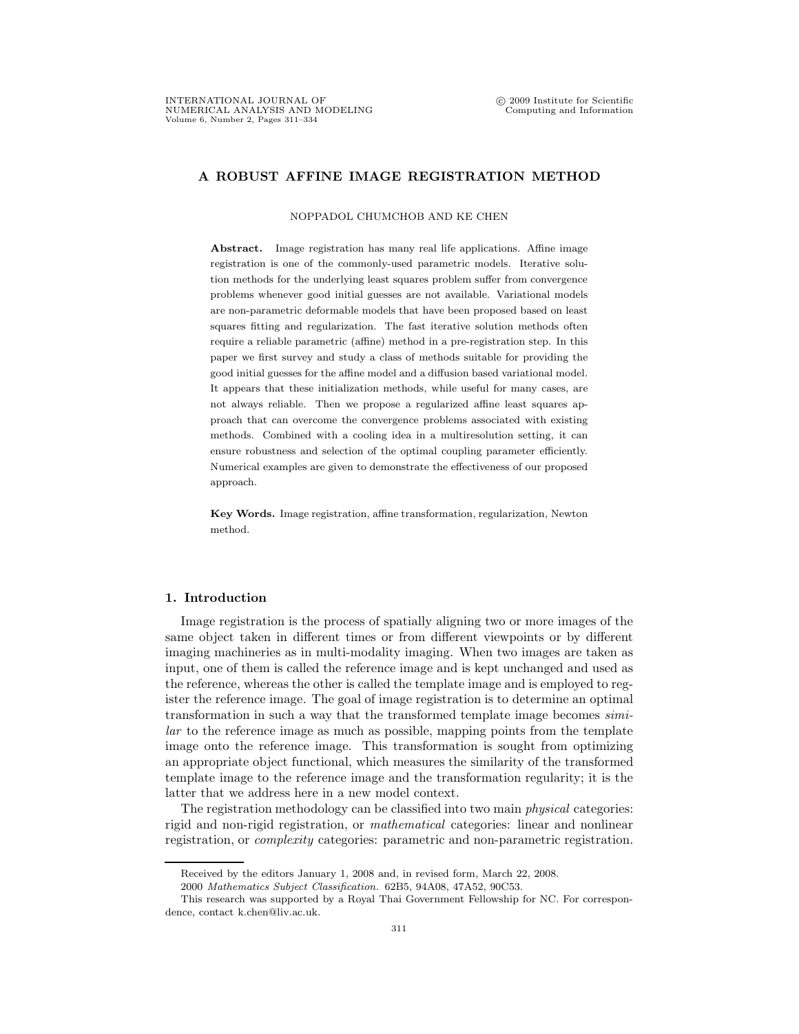## A ROBUST AFFINE IMAGE REGISTRATION METHOD

## NOPPADOL CHUMCHOB AND KE CHEN

Abstract. Image registration has many real life applications. Affine image registration is one of the commonly-used parametric models. Iterative solution methods for the underlying least squares problem suffer from convergence problems whenever good initial guesses are not available. Variational models are non-parametric deformable models that have been proposed based on least squares fitting and regularization. The fast iterative solution methods often require a reliable parametric (affine) method in a pre-registration step. In this paper we first survey and study a class of methods suitable for providing the good initial guesses for the affine model and a diffusion based variational model. It appears that these initialization methods, while useful for many cases, are not always reliable. Then we propose a regularized affine least squares approach that can overcome the convergence problems associated with existing methods. Combined with a cooling idea in a multiresolution setting, it can ensure robustness and selection of the optimal coupling parameter efficiently. Numerical examples are given to demonstrate the effectiveness of our proposed approach.

Key Words. Image registration, affine transformation, regularization, Newton method.

## 1. Introduction

Image registration is the process of spatially aligning two or more images of the same object taken in different times or from different viewpoints or by different imaging machineries as in multi-modality imaging. When two images are taken as input, one of them is called the reference image and is kept unchanged and used as the reference, whereas the other is called the template image and is employed to register the reference image. The goal of image registration is to determine an optimal transformation in such a way that the transformed template image becomes similar to the reference image as much as possible, mapping points from the template image onto the reference image. This transformation is sought from optimizing an appropriate object functional, which measures the similarity of the transformed template image to the reference image and the transformation regularity; it is the latter that we address here in a new model context.

The registration methodology can be classified into two main *physical* categories: rigid and non-rigid registration, or mathematical categories: linear and nonlinear registration, or complexity categories: parametric and non-parametric registration.

Received by the editors January 1, 2008 and, in revised form, March 22, 2008.

<sup>2000</sup> Mathematics Subject Classification. 62B5, 94A08, 47A52, 90C53.

This research was supported by a Royal Thai Government Fellowship for NC. For correspondence, contact k.chen@liv.ac.uk.